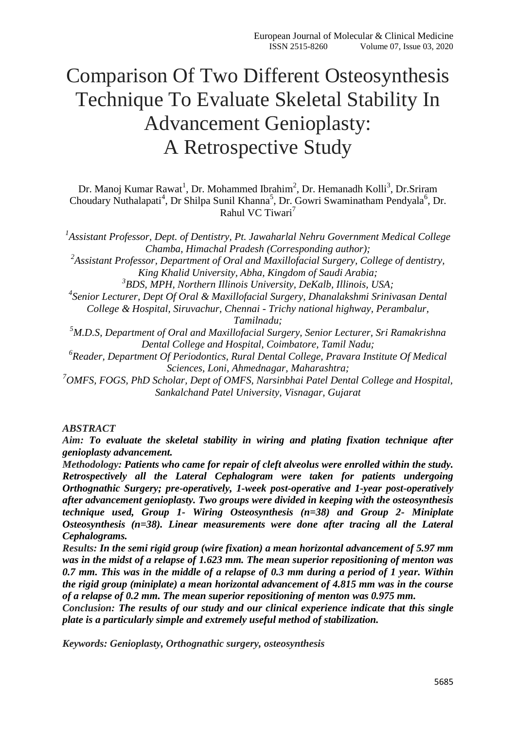# Comparison Of Two Different Osteosynthesis Technique To Evaluate Skeletal Stability In Advancement Genioplasty: A Retrospective Study

Dr. Manoj Kumar Rawat<sup>1</sup>, Dr. Mohammed Ibrahim<sup>2</sup>, Dr. Hemanadh Kolli<sup>3</sup>, Dr.Sriram Choudary Nuthalapati<sup>4</sup>, Dr Shilpa Sunil Khanna<sup>5</sup>, Dr. Gowri Swaminatham Pendyala<sup>6</sup>, Dr. Rahul VC Tiwari<sup>7</sup>

<sup>1</sup> Assistant Professor, Dept. of Dentistry, Pt. Jawaharlal Nehru Government Medical College *Chamba, Himachal Pradesh (Corresponding author);*

*2 Assistant Professor, Department of Oral and Maxillofacial Surgery, College of dentistry, King Khalid University, Abha, Kingdom of Saudi Arabia;*

*3 BDS, MPH, Northern Illinois University, DeKalb, Illinois, USA;*

*4 Senior Lecturer, Dept Of Oral & Maxillofacial Surgery, Dhanalakshmi Srinivasan Dental* 

*College & Hospital, Siruvachur, Chennai - Trichy national highway, Perambalur, Tamilnadu;*

*<sup>5</sup>M.D.S, Department of Oral and Maxillofacial Surgery, Senior Lecturer, Sri Ramakrishna Dental College and Hospital, Coimbatore, Tamil Nadu;*

<sup>6</sup> Reader, Department Of Periodontics, Rural Dental College, Pravara Institute Of Medical *Sciences, Loni, Ahmednagar, Maharashtra;*

*<sup>7</sup>OMFS, FOGS, PhD Scholar, Dept of OMFS, Narsinbhai Patel Dental College and Hospital, Sankalchand Patel University, Visnagar, Gujarat*

*ABSTRACT*

*Aim: To evaluate the skeletal stability in wiring and plating fixation technique after genioplasty advancement.*

*Methodology: Patients who came for repair of cleft alveolus were enrolled within the study. Retrospectively all the Lateral Cephalogram were taken for patients undergoing Orthognathic Surgery; pre-operatively, 1-week post-operative and 1-year post-operatively after advancement genioplasty. Two groups were divided in keeping with the osteosynthesis technique used, Group 1- Wiring Osteosynthesis (n=38) and Group 2- Miniplate Osteosynthesis (n=38). Linear measurements were done after tracing all the Lateral Cephalograms.*

*Results: In the semi rigid group (wire fixation) a mean horizontal advancement of 5.97 mm was in the midst of a relapse of 1.623 mm. The mean superior repositioning of menton was 0.7 mm. This was in the middle of a relapse of 0.3 mm during a period of 1 year. Within the rigid group (miniplate) a mean horizontal advancement of 4.815 mm was in the course of a relapse of 0.2 mm. The mean superior repositioning of menton was 0.975 mm.*

*Conclusion: The results of our study and our clinical experience indicate that this single plate is a particularly simple and extremely useful method of stabilization.*

*Keywords: Genioplasty, Orthognathic surgery, osteosynthesis*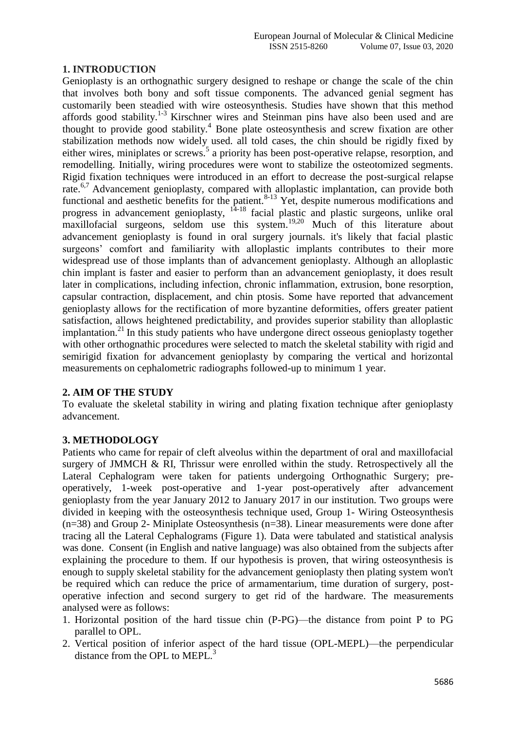## **1. INTRODUCTION**

Genioplasty is an orthognathic surgery designed to reshape or change the scale of the chin that involves both bony and soft tissue components. The advanced genial segment has customarily been steadied with wire osteosynthesis. Studies have shown that this method affords good stability.<sup>1-3</sup> Kirschner wires and Steinman pins have also been used and are thought to provide good stability.<sup>4</sup> Bone plate osteosynthesis and screw fixation are other stabilization methods now widely used. all told cases, the chin should be rigidly fixed by either wires, miniplates or screws.<sup>5</sup> a priority has been post-operative relapse, resorption, and remodelling. Initially, wiring procedures were wont to stabilize the osteotomized segments. Rigid fixation techniques were introduced in an effort to decrease the post-surgical relapse rate.<sup>6,7</sup> Advancement genioplasty, compared with alloplastic implantation, can provide both functional and aesthetic benefits for the patient.<sup>8-13</sup> Yet, despite numerous modifications and progress in advancement genioplasty,  $1^{4-18}$  facial plastic and plastic surgeons, unlike oral maxillofacial surgeons, seldom use this system.<sup>19,20</sup> Much of this literature about advancement genioplasty is found in oral surgery journals. it's likely that facial plastic surgeons' comfort and familiarity with alloplastic implants contributes to their more widespread use of those implants than of advancement genioplasty. Although an alloplastic chin implant is faster and easier to perform than an advancement genioplasty, it does result later in complications, including infection, chronic inflammation, extrusion, bone resorption, capsular contraction, displacement, and chin ptosis. Some have reported that advancement genioplasty allows for the rectification of more byzantine deformities, offers greater patient satisfaction, allows heightened predictability, and provides superior stability than alloplastic implantation.<sup>21</sup> In this study patients who have undergone direct osseous genioplasty together with other orthognathic procedures were selected to match the skeletal stability with rigid and semirigid fixation for advancement genioplasty by comparing the vertical and horizontal measurements on cephalometric radiographs followed-up to minimum 1 year.

# **2. AIM OF THE STUDY**

To evaluate the skeletal stability in wiring and plating fixation technique after genioplasty advancement.

# **3. METHODOLOGY**

Patients who came for repair of cleft alveolus within the department of oral and maxillofacial surgery of JMMCH & RI, Thrissur were enrolled within the study. Retrospectively all the Lateral Cephalogram were taken for patients undergoing Orthognathic Surgery; preoperatively, 1-week post-operative and 1-year post-operatively after advancement genioplasty from the year January 2012 to January 2017 in our institution. Two groups were divided in keeping with the osteosynthesis technique used, Group 1- Wiring Osteosynthesis (n=38) and Group 2- Miniplate Osteosynthesis (n=38). Linear measurements were done after tracing all the Lateral Cephalograms (Figure 1). Data were tabulated and statistical analysis was done. Consent (in English and native language) was also obtained from the subjects after explaining the procedure to them. If our hypothesis is proven, that wiring osteosynthesis is enough to supply skeletal stability for the advancement genioplasty then plating system won't be required which can reduce the price of armamentarium, time duration of surgery, postoperative infection and second surgery to get rid of the hardware. The measurements analysed were as follows:

- 1. Horizontal position of the hard tissue chin (P-PG)—the distance from point P to PG parallel to OPL.
- 2. Vertical position of inferior aspect of the hard tissue (OPL-MEPL)—the perpendicular distance from the OPL to MEPL.<sup>3</sup>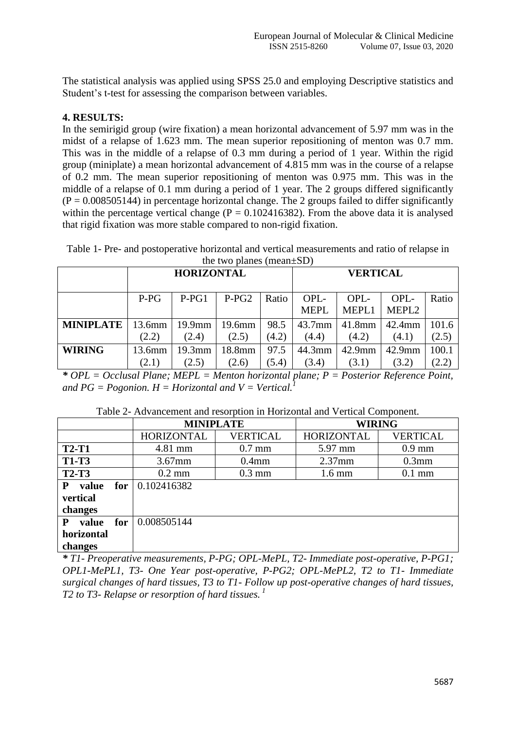The statistical analysis was applied using SPSS 25.0 and employing Descriptive statistics and Student's t-test for assessing the comparison between variables.

## **4. RESULTS:**

In the semirigid group (wire fixation) a mean horizontal advancement of 5.97 mm was in the midst of a relapse of 1.623 mm. The mean superior repositioning of menton was 0.7 mm. This was in the middle of a relapse of 0.3 mm during a period of 1 year. Within the rigid group (miniplate) a mean horizontal advancement of 4.815 mm was in the course of a relapse of 0.2 mm. The mean superior repositioning of menton was 0.975 mm. This was in the middle of a relapse of 0.1 mm during a period of 1 year. The 2 groups differed significantly  $(P = 0.008505144)$  in percentage horizontal change. The 2 groups failed to differ significantly within the percentage vertical change ( $P = 0.102416382$ ). From the above data it is analysed that rigid fixation was more stable compared to non-rigid fixation.

| Table 1- Pre- and postoperative horizontal and vertical measurements and ratio of relapse in |                                 |  |  |
|----------------------------------------------------------------------------------------------|---------------------------------|--|--|
|                                                                                              | the two planes (mean $\pm SD$ ) |  |  |

|                  | <b>HORIZONTAL</b> |           |           | <b>VERTICAL</b> |                     |               |                           |       |
|------------------|-------------------|-----------|-----------|-----------------|---------------------|---------------|---------------------------|-------|
|                  | $P-PG$            | $P-PG1$   | $P-PG2$   | Ratio           | OPL-<br><b>MEPL</b> | OPL-<br>MEPL1 | OPL-<br>MEPL <sub>2</sub> | Ratio |
| <b>MINIPLATE</b> | $13.6$ mm         | $19.9$ mm | $19.6$ mm | 98.5            | $43.7$ mm           | 41.8mm        | $42.4$ mm                 | 101.6 |
|                  | (2.2)             | (2.4)     | (2.5)     | (4.2)           | (4.4)               | (4.2)         | (4.1)                     | (2.5) |
| <b>WIRING</b>    | 13.6mm            | $19.3$ mm | 18.8mm    | 97.5            | 44.3mm              | $42.9$ mm     | $42.9$ mm                 | 100.1 |
|                  | (2.1)             | (2.5)     | (2.6)     | (5.4)           | (3.4)               | (3.1)         | (3.2)                     | (2.2) |

*\* OPL = Occlusal Plane; MEPL = Menton horizontal plane; P = Posterior Reference Point, and PG = Pogonion.*  $H = Horizontal$  *and V = Vertical.*<sup>1</sup>

| Table 2- Advancement and resorption in Horizontal and Vertical Component. |  |  |
|---------------------------------------------------------------------------|--|--|
|---------------------------------------------------------------------------|--|--|

|                     | <b>MINIPLATE</b>  |                  | <b>WIRING</b>     |                 |
|---------------------|-------------------|------------------|-------------------|-----------------|
|                     | <b>HORIZONTAL</b> | <b>VERTICAL</b>  | <b>HORIZONTAL</b> | <b>VERTICAL</b> |
| $T2-T1$             | 4.81 mm           | $0.7$ mm         | 5.97 mm           | $0.9$ mm        |
| <b>T1-T3</b>        | $3.67$ mm         | $0.4$ mm         | $2.37$ mm         | $0.3$ mm        |
| <b>T2-T3</b>        | $0.2 \text{ mm}$  | $0.3 \text{ mm}$ | $1.6 \text{ mm}$  | $0.1$ mm        |
| for  <br>P<br>value | 0.102416382       |                  |                   |                 |
| vertical            |                   |                  |                   |                 |
| changes             |                   |                  |                   |                 |
| for<br>P<br>value   | 0.008505144       |                  |                   |                 |
| horizontal          |                   |                  |                   |                 |
| changes             |                   |                  |                   |                 |

*\* T1- Preoperative measurements, P-PG; OPL-MePL, T2- Immediate post-operative, P-PG1; OPL1-MePL1, T3- One Year post-operative, P-PG2; OPL-MePL2, T2 to T1- Immediate surgical changes of hard tissues, T3 to T1- Follow up post-operative changes of hard tissues, T2 to T3- Relapse or resorption of hard tissues. <sup>1</sup>*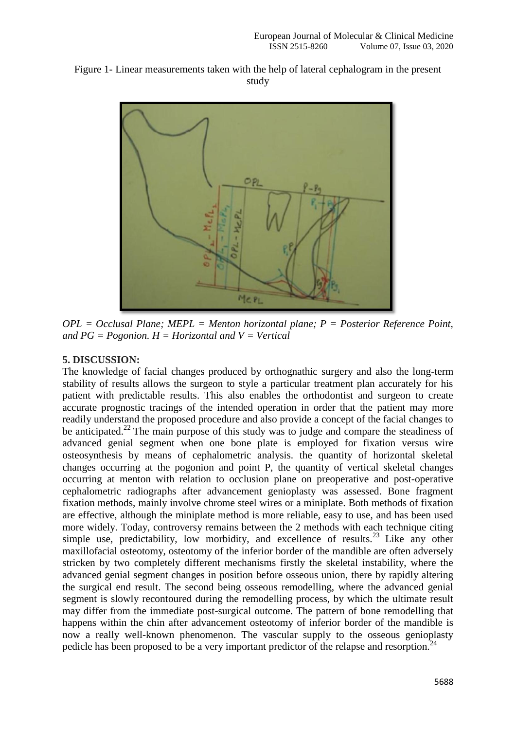



*OPL = Occlusal Plane; MEPL = Menton horizontal plane; P = Posterior Reference Point, and PG = Pogonion. H = Horizontal and V = Vertical*

## **5. DISCUSSION:**

The knowledge of facial changes produced by orthognathic surgery and also the long-term stability of results allows the surgeon to style a particular treatment plan accurately for his patient with predictable results. This also enables the orthodontist and surgeon to create accurate prognostic tracings of the intended operation in order that the patient may more readily understand the proposed procedure and also provide a concept of the facial changes to be anticipated.<sup>22</sup> The main purpose of this study was to judge and compare the steadiness of advanced genial segment when one bone plate is employed for fixation versus wire osteosynthesis by means of cephalometric analysis. the quantity of horizontal skeletal changes occurring at the pogonion and point P, the quantity of vertical skeletal changes occurring at menton with relation to occlusion plane on preoperative and post-operative cephalometric radiographs after advancement genioplasty was assessed. Bone fragment fixation methods, mainly involve chrome steel wires or a miniplate. Both methods of fixation are effective, although the miniplate method is more reliable, easy to use, and has been used more widely. Today, controversy remains between the 2 methods with each technique citing simple use, predictability, low morbidity, and excellence of results.<sup>23</sup> Like any other maxillofacial osteotomy, osteotomy of the inferior border of the mandible are often adversely stricken by two completely different mechanisms firstly the skeletal instability, where the advanced genial segment changes in position before osseous union, there by rapidly altering the surgical end result. The second being osseous remodelling, where the advanced genial segment is slowly recontoured during the remodelling process, by which the ultimate result may differ from the immediate post-surgical outcome. The pattern of bone remodelling that happens within the chin after advancement osteotomy of inferior border of the mandible is now a really well-known phenomenon. The vascular supply to the osseous genioplasty pedicle has been proposed to be a very important predictor of the relapse and resorption.<sup>24</sup>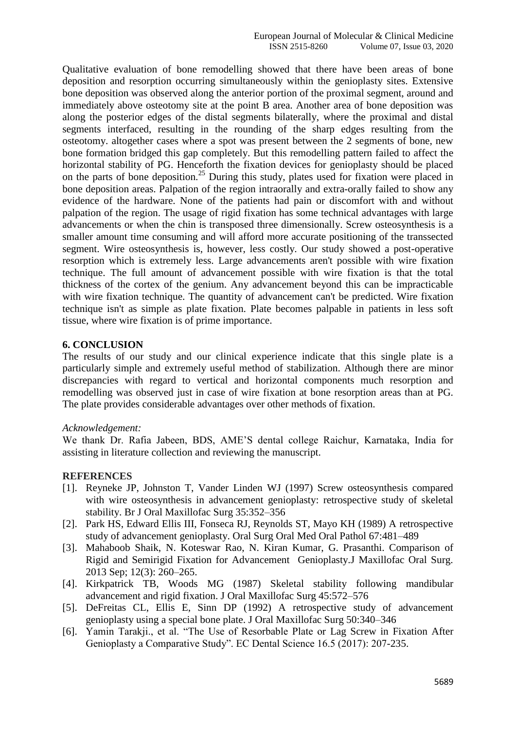Qualitative evaluation of bone remodelling showed that there have been areas of bone deposition and resorption occurring simultaneously within the genioplasty sites. Extensive bone deposition was observed along the anterior portion of the proximal segment, around and immediately above osteotomy site at the point B area. Another area of bone deposition was along the posterior edges of the distal segments bilaterally, where the proximal and distal segments interfaced, resulting in the rounding of the sharp edges resulting from the osteotomy. altogether cases where a spot was present between the 2 segments of bone, new bone formation bridged this gap completely. But this remodelling pattern failed to affect the horizontal stability of PG. Henceforth the fixation devices for genioplasty should be placed on the parts of bone deposition.<sup>25</sup> During this study, plates used for fixation were placed in bone deposition areas. Palpation of the region intraorally and extra-orally failed to show any evidence of the hardware. None of the patients had pain or discomfort with and without palpation of the region. The usage of rigid fixation has some technical advantages with large advancements or when the chin is transposed three dimensionally. Screw osteosynthesis is a smaller amount time consuming and will afford more accurate positioning of the transsected segment. Wire osteosynthesis is, however, less costly. Our study showed a post-operative resorption which is extremely less. Large advancements aren't possible with wire fixation technique. The full amount of advancement possible with wire fixation is that the total thickness of the cortex of the genium. Any advancement beyond this can be impracticable with wire fixation technique. The quantity of advancement can't be predicted. Wire fixation technique isn't as simple as plate fixation. Plate becomes palpable in patients in less soft tissue, where wire fixation is of prime importance.

#### **6. CONCLUSION**

The results of our study and our clinical experience indicate that this single plate is a particularly simple and extremely useful method of stabilization. Although there are minor discrepancies with regard to vertical and horizontal components much resorption and remodelling was observed just in case of wire fixation at bone resorption areas than at PG. The plate provides considerable advantages over other methods of fixation.

#### *Acknowledgement:*

We thank Dr. Rafia Jabeen, BDS, AME'S dental college Raichur, Karnataka, India for assisting in literature collection and reviewing the manuscript.

#### **REFERENCES**

- [1]. Reyneke JP, Johnston T, Vander Linden WJ (1997) Screw osteosynthesis compared with wire osteosynthesis in advancement genioplasty: retrospective study of skeletal stability. Br J Oral Maxillofac Surg 35:352–356
- [2]. Park HS, Edward Ellis III, Fonseca RJ, Reynolds ST, Mayo KH (1989) A retrospective study of advancement genioplasty. Oral Surg Oral Med Oral Pathol 67:481–489
- [3]. Mahaboob Shaik, N. Koteswar Rao, N. Kiran Kumar, G. Prasanthi. Comparison of Rigid and Semirigid Fixation for Advancement Genioplasty.J Maxillofac Oral Surg. 2013 Sep; 12(3): 260–265.
- [4]. Kirkpatrick TB, Woods MG (1987) Skeletal stability following mandibular advancement and rigid fixation. J Oral Maxillofac Surg 45:572–576
- [5]. DeFreitas CL, Ellis E, Sinn DP (1992) A retrospective study of advancement genioplasty using a special bone plate. J Oral Maxillofac Surg 50:340–346
- [6]. Yamin Tarakji., et al. "The Use of Resorbable Plate or Lag Screw in Fixation After Genioplasty a Comparative Study". EC Dental Science 16.5 (2017): 207-235.